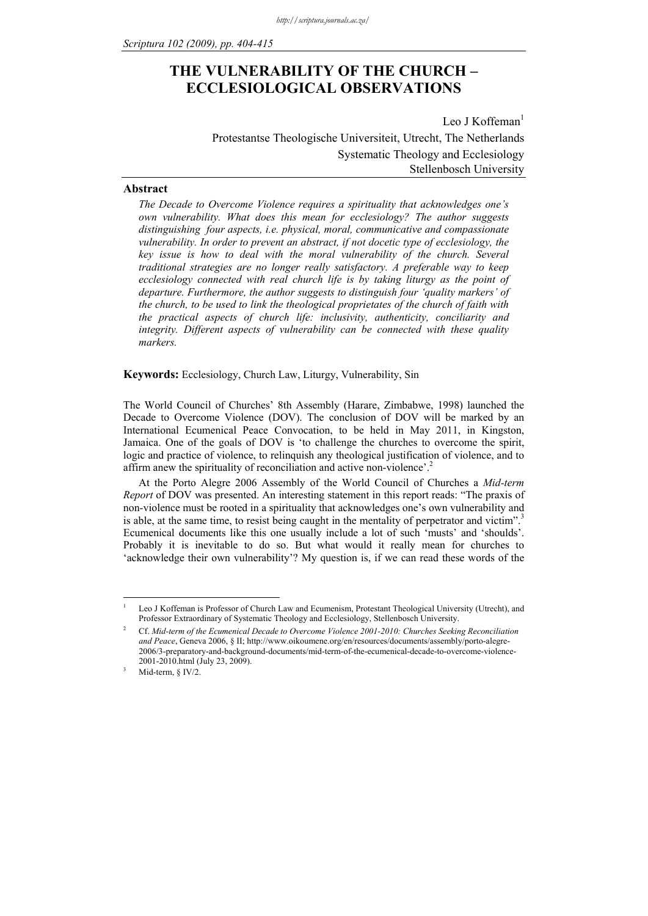# **THE VULNERABILITY OF THE CHURCH – ECCLESIOLOGICAL OBSERVATIONS**

Leo J Koffeman $<sup>1</sup>$ </sup> Protestantse Theologische Universiteit, Utrecht, The Netherlands Systematic Theology and Ecclesiology Stellenbosch University

#### **Abstract**

*The Decade to Overcome Violence requires a spirituality that acknowledges one's own vulnerability. What does this mean for ecclesiology? The author suggests distinguishing four aspects, i.e. physical, moral, communicative and compassionate vulnerability. In order to prevent an abstract, if not docetic type of ecclesiology, the key issue is how to deal with the moral vulnerability of the church. Several traditional strategies are no longer really satisfactory. A preferable way to keep ecclesiology connected with real church life is by taking liturgy as the point of departure. Furthermore, the author suggests to distinguish four 'quality markers' of the church, to be used to link the theological proprietates of the church of faith with the practical aspects of church life: inclusivity, authenticity, conciliarity and integrity. Different aspects of vulnerability can be connected with these quality markers.* 

**Keywords:** Ecclesiology, Church Law, Liturgy, Vulnerability, Sin

The World Council of Churches' 8th Assembly (Harare, Zimbabwe, 1998) launched the Decade to Overcome Violence (DOV). The conclusion of DOV will be marked by an International Ecumenical Peace Convocation, to be held in May 2011, in Kingston, Jamaica. One of the goals of DOV is 'to challenge the churches to overcome the spirit, logic and practice of violence, to relinquish any theological justification of violence, and to affirm anew the spirituality of reconciliation and active non-violence'.<sup>2</sup>

At the Porto Alegre 2006 Assembly of the World Council of Churches a *Mid-term Report* of DOV was presented. An interesting statement in this report reads: "The praxis of non-violence must be rooted in a spirituality that acknowledges one's own vulnerability and is able, at the same time, to resist being caught in the mentality of perpetrator and victim".<sup>3</sup> Ecumenical documents like this one usually include a lot of such 'musts' and 'shoulds'. Probably it is inevitable to do so. But what would it really mean for churches to 'acknowledge their own vulnerability'? My question is, if we can read these words of the

<u>.</u> 1

Leo J Koffeman is Professor of Church Law and Ecumenism, Protestant Theological University (Utrecht), and Professor Extraordinary of Systematic Theology and Ecclesiology, Stellenbosch University.

<sup>2</sup> Cf. *Mid-term of the Ecumenical Decade to Overcome Violence 2001-2010: Churches Seeking Reconciliation and Peace*, Geneva 2006, § II; http://www.oikoumene.org/en/resources/documents/assembly/porto-alegre-2006/3-preparatory-and-background-documents/mid-term-of-the-ecumenical-decade-to-overcome-violence-2001-2010.html (July 23, 2009).

Mid-term, § IV/2.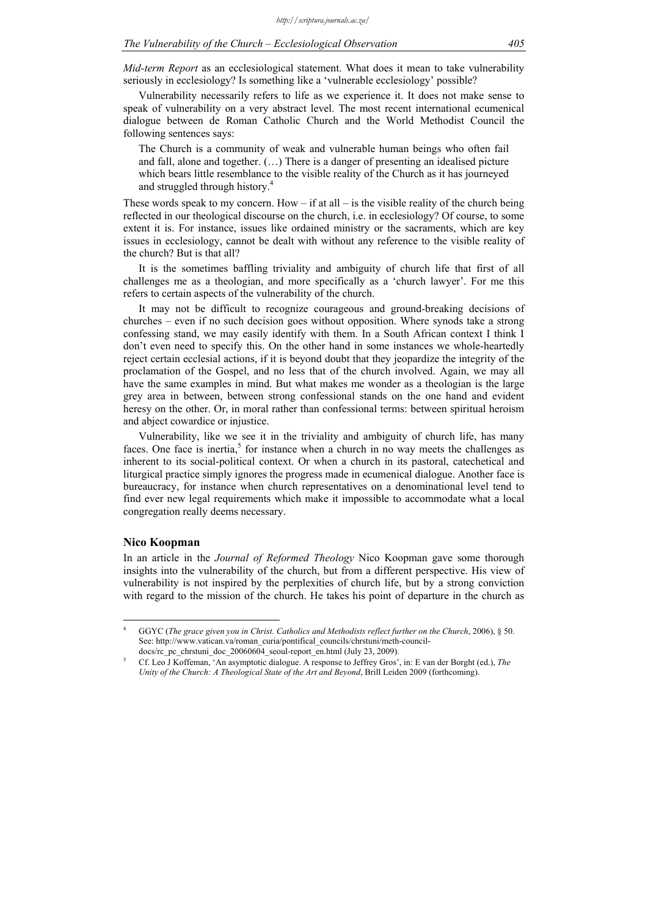*Mid-term Report* as an ecclesiological statement. What does it mean to take vulnerability seriously in ecclesiology? Is something like a 'vulnerable ecclesiology' possible?

Vulnerability necessarily refers to life as we experience it. It does not make sense to speak of vulnerability on a very abstract level. The most recent international ecumenical dialogue between de Roman Catholic Church and the World Methodist Council the following sentences says:

The Church is a community of weak and vulnerable human beings who often fail and fall, alone and together. (…) There is a danger of presenting an idealised picture which bears little resemblance to the visible reality of the Church as it has journeyed and struggled through history.<sup>4</sup>

These words speak to my concern. How  $-$  if at all  $-$  is the visible reality of the church being reflected in our theological discourse on the church, i.e. in ecclesiology? Of course, to some extent it is. For instance, issues like ordained ministry or the sacraments, which are key issues in ecclesiology, cannot be dealt with without any reference to the visible reality of the church? But is that all?

It is the sometimes baffling triviality and ambiguity of church life that first of all challenges me as a theologian, and more specifically as a 'church lawyer'. For me this refers to certain aspects of the vulnerability of the church.

It may not be difficult to recognize courageous and ground-breaking decisions of churches – even if no such decision goes without opposition. Where synods take a strong confessing stand, we may easily identify with them. In a South African context I think I don't even need to specify this. On the other hand in some instances we whole-heartedly reject certain ecclesial actions, if it is beyond doubt that they jeopardize the integrity of the proclamation of the Gospel, and no less that of the church involved. Again, we may all have the same examples in mind. But what makes me wonder as a theologian is the large grey area in between, between strong confessional stands on the one hand and evident heresy on the other. Or, in moral rather than confessional terms: between spiritual heroism and abject cowardice or injustice.

Vulnerability, like we see it in the triviality and ambiguity of church life, has many faces. One face is inertia,<sup>5</sup> for instance when a church in no way meets the challenges as inherent to its social-political context. Or when a church in its pastoral, catechetical and liturgical practice simply ignores the progress made in ecumenical dialogue. Another face is bureaucracy, for instance when church representatives on a denominational level tend to find ever new legal requirements which make it impossible to accommodate what a local congregation really deems necessary.

#### **Nico Koopman**

1

In an article in the *Journal of Reformed Theology* Nico Koopman gave some thorough insights into the vulnerability of the church, but from a different perspective. His view of vulnerability is not inspired by the perplexities of church life, but by a strong conviction with regard to the mission of the church. He takes his point of departure in the church as

<sup>4</sup> GGYC (*The grace given you in Christ. Catholics and Methodists reflect further on the Church*, 2006), § 50. See: http://www.vatican.va/roman\_curia/pontifical\_councils/chrstuni/meth-councildocs/rc\_pc\_chrstuni\_doc\_20060604\_seoul-report\_en.html (July 23, 2009).

Cf. Leo J Koffeman, 'An asymptotic dialogue. A response to Jeffrey Gros', in: E van der Borght (ed.), *The Unity of the Church: A Theological State of the Art and Beyond*, Brill Leiden 2009 (forthcoming).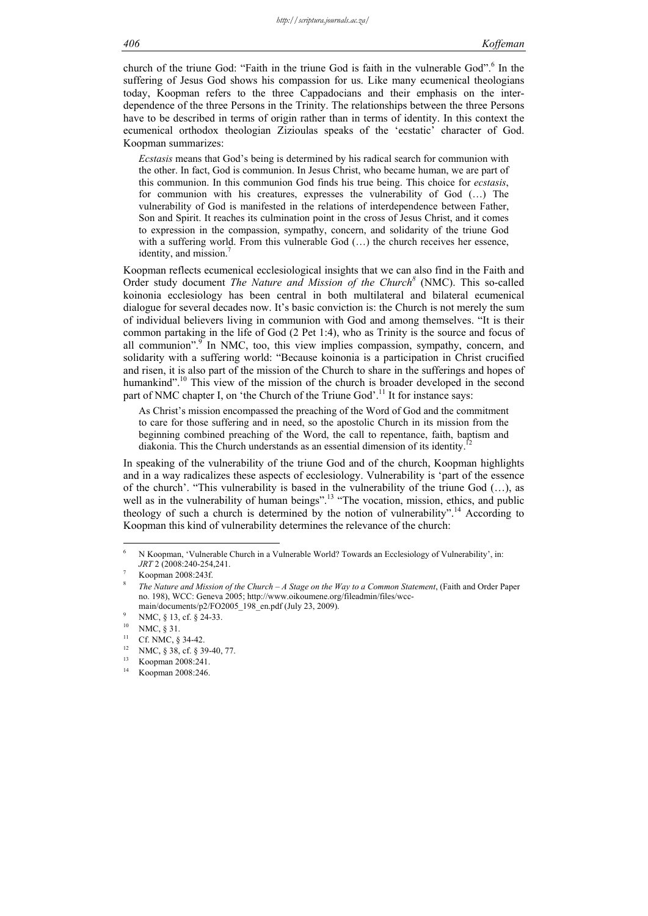#### *406 Koffeman*

church of the triune God: "Faith in the triune God is faith in the vulnerable God".<sup>6</sup> In the suffering of Jesus God shows his compassion for us. Like many ecumenical theologians today, Koopman refers to the three Cappadocians and their emphasis on the interdependence of the three Persons in the Trinity. The relationships between the three Persons have to be described in terms of origin rather than in terms of identity. In this context the ecumenical orthodox theologian Zizioulas speaks of the 'ecstatic' character of God. Koopman summarizes:

*Ecstasis* means that God's being is determined by his radical search for communion with the other. In fact, God is communion. In Jesus Christ, who became human, we are part of this communion. In this communion God finds his true being. This choice for *ecstasis*, for communion with his creatures, expresses the vulnerability of God (…) The vulnerability of God is manifested in the relations of interdependence between Father, Son and Spirit. It reaches its culmination point in the cross of Jesus Christ, and it comes to expression in the compassion, sympathy, concern, and solidarity of the triune God with a suffering world. From this vulnerable God (…) the church receives her essence, identity, and mission.<sup>7</sup>

Koopman reflects ecumenical ecclesiological insights that we can also find in the Faith and Order study document *The Nature and Mission of the Church<sup>8</sup>* (NMC). This so-called koinonia ecclesiology has been central in both multilateral and bilateral ecumenical dialogue for several decades now. It's basic conviction is: the Church is not merely the sum of individual believers living in communion with God and among themselves. "It is their common partaking in the life of God (2 Pet 1:4), who as Trinity is the source and focus of all communion". $\int$  In NMC, too, this view implies compassion, sympathy, concern, and solidarity with a suffering world: "Because koinonia is a participation in Christ crucified and risen, it is also part of the mission of the Church to share in the sufferings and hopes of humankind".<sup>10</sup> This view of the mission of the church is broader developed in the second part of NMC chapter I, on 'the Church of the Triune God'.<sup>11</sup> It for instance says:

As Christ's mission encompassed the preaching of the Word of God and the commitment to care for those suffering and in need, so the apostolic Church in its mission from the beginning combined preaching of the Word, the call to repentance, faith, baptism and diakonia. This the Church understands as an essential dimension of its identity.

In speaking of the vulnerability of the triune God and of the church, Koopman highlights and in a way radicalizes these aspects of ecclesiology. Vulnerability is 'part of the essence of the church'. "This vulnerability is based in the vulnerability of the triune God  $(...)$ , as well as in the vulnerability of human beings".<sup>13</sup> "The vocation, mission, ethics, and public theology of such a church is determined by the notion of vulnerability".14 According to Koopman this kind of vulnerability determines the relevance of the church:

<sup>6</sup> N Koopman, 'Vulnerable Church in a Vulnerable World? Towards an Ecclesiology of Vulnerability', in: *JRT* 2 (2008:240-254,241.

Koopman 2008:243f.

<sup>8</sup> *The Nature and Mission of the Church – A Stage on the Way to a Common Statement*, (Faith and Order Paper no. 198), WCC: Geneva 2005; http://www.oikoumene.org/fileadmin/files/wccmain/documents/p2/FO2005 198 en.pdf (July 23, 2009).

NMC, § 13, cf. § 24-33.

 $^{10}$  NMC, § 31.

<sup>&</sup>lt;sup>11</sup> Cf. NMC,  $\S$  34-42. NMC, § 38, cf. § 39-40, 77.

 $\frac{13}{14}$  Koopman 2008:241. Koopman 2008:246.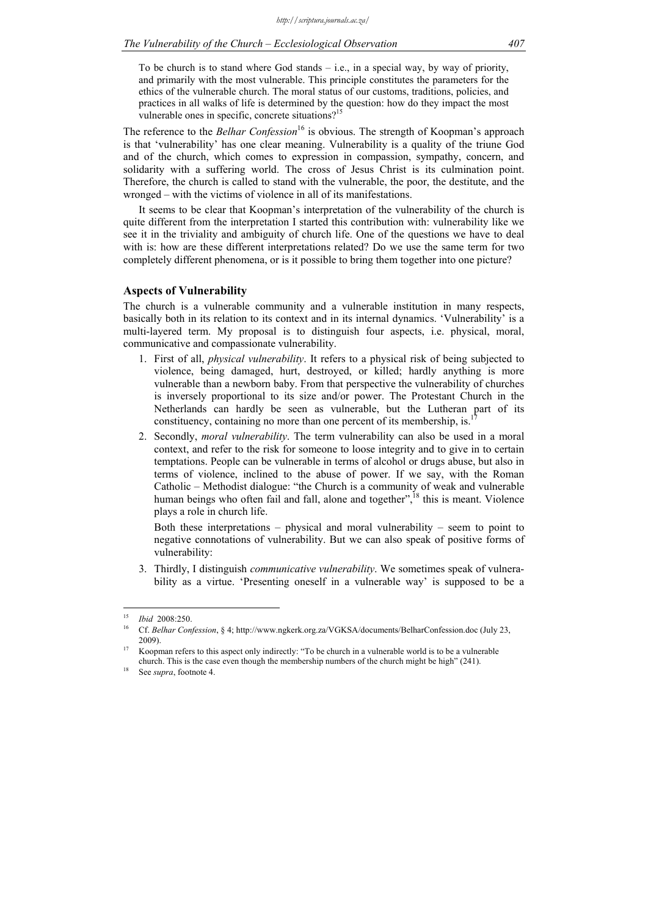To be church is to stand where God stands – i.e., in a special way, by way of priority, and primarily with the most vulnerable. This principle constitutes the parameters for the ethics of the vulnerable church. The moral status of our customs, traditions, policies, and practices in all walks of life is determined by the question: how do they impact the most vulnerable ones in specific, concrete situations?<sup>15</sup>

The reference to the *Belhar Confession*<sup>16</sup> is obvious. The strength of Koopman's approach is that 'vulnerability' has one clear meaning. Vulnerability is a quality of the triune God and of the church, which comes to expression in compassion, sympathy, concern, and solidarity with a suffering world. The cross of Jesus Christ is its culmination point. Therefore, the church is called to stand with the vulnerable, the poor, the destitute, and the wronged – with the victims of violence in all of its manifestations.

It seems to be clear that Koopman's interpretation of the vulnerability of the church is quite different from the interpretation I started this contribution with: vulnerability like we see it in the triviality and ambiguity of church life. One of the questions we have to deal with is: how are these different interpretations related? Do we use the same term for two completely different phenomena, or is it possible to bring them together into one picture?

### **Aspects of Vulnerability**

The church is a vulnerable community and a vulnerable institution in many respects, basically both in its relation to its context and in its internal dynamics. 'Vulnerability' is a multi-layered term. My proposal is to distinguish four aspects, i.e. physical, moral, communicative and compassionate vulnerability.

- 1. First of all, *physical vulnerability*. It refers to a physical risk of being subjected to violence, being damaged, hurt, destroyed, or killed; hardly anything is more vulnerable than a newborn baby. From that perspective the vulnerability of churches is inversely proportional to its size and/or power. The Protestant Church in the Netherlands can hardly be seen as vulnerable, but the Lutheran part of its constituency, containing no more than one percent of its membership, is.
- 2. Secondly, *moral vulnerability*. The term vulnerability can also be used in a moral context, and refer to the risk for someone to loose integrity and to give in to certain temptations. People can be vulnerable in terms of alcohol or drugs abuse, but also in terms of violence, inclined to the abuse of power. If we say, with the Roman Catholic – Methodist dialogue: "the Church is a community of weak and vulnerable human beings who often fail and fall, alone and together", $\frac{18}{18}$  this is meant. Violence plays a role in church life.

Both these interpretations – physical and moral vulnerability – seem to point to negative connotations of vulnerability. But we can also speak of positive forms of vulnerability:

3. Thirdly, I distinguish *communicative vulnerability*. We sometimes speak of vulnerability as a virtue. 'Presenting oneself in a vulnerable way' is supposed to be a

<sup>&</sup>lt;sup>15</sup>*Ibid 2008:250.*<br><sup>16</sup> Cf. *Belhar Confession*, § 4; http://www.ngkerk.org.za/VGKSA/documents/BelharConfession.doc (July 23,

<sup>2009).&</sup>lt;br><sup>17</sup> Koopman refers to this aspect only indirectly: "To be church in a vulnerable world is to be a vulnerable church. This is the case even though the membership numbers of the church might be high" (241). See *supra*, footnote 4.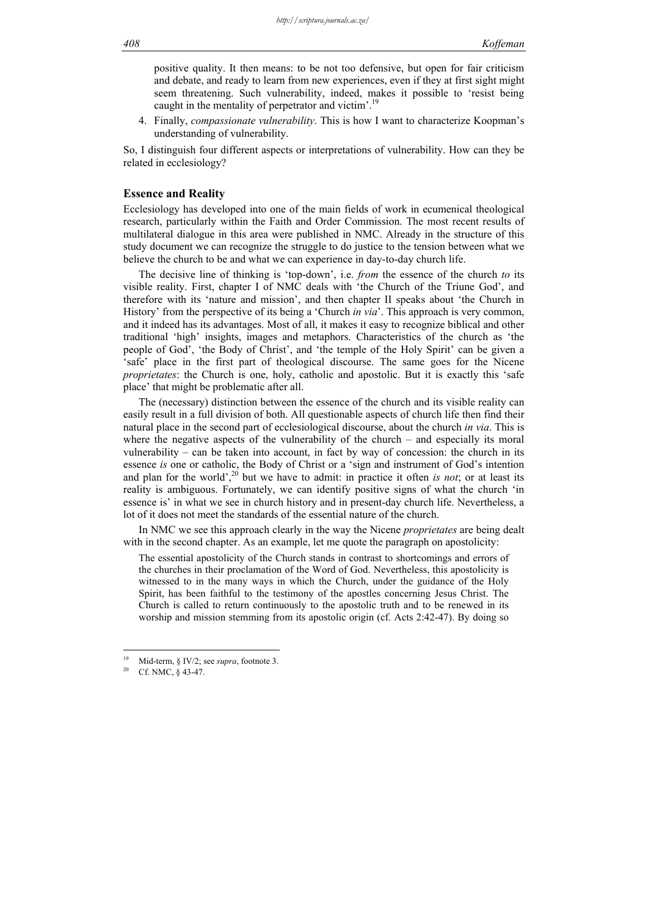positive quality. It then means: to be not too defensive, but open for fair criticism and debate, and ready to learn from new experiences, even if they at first sight might seem threatening. Such vulnerability, indeed, makes it possible to 'resist being caught in the mentality of perpetrator and victim'.<sup>19</sup>

4. Finally, *compassionate vulnerability*. This is how I want to characterize Koopman's understanding of vulnerability.

So, I distinguish four different aspects or interpretations of vulnerability. How can they be related in ecclesiology?

#### **Essence and Reality**

Ecclesiology has developed into one of the main fields of work in ecumenical theological research, particularly within the Faith and Order Commission. The most recent results of multilateral dialogue in this area were published in NMC. Already in the structure of this study document we can recognize the struggle to do justice to the tension between what we believe the church to be and what we can experience in day-to-day church life.

The decisive line of thinking is 'top-down', i.e. *from* the essence of the church *to* its visible reality. First, chapter I of NMC deals with 'the Church of the Triune God', and therefore with its 'nature and mission', and then chapter II speaks about 'the Church in History' from the perspective of its being a 'Church *in via*'. This approach is very common, and it indeed has its advantages. Most of all, it makes it easy to recognize biblical and other traditional 'high' insights, images and metaphors. Characteristics of the church as 'the people of God', 'the Body of Christ', and 'the temple of the Holy Spirit' can be given a 'safe' place in the first part of theological discourse. The same goes for the Nicene *proprietates*: the Church is one, holy, catholic and apostolic. But it is exactly this 'safe place' that might be problematic after all.

The (necessary) distinction between the essence of the church and its visible reality can easily result in a full division of both. All questionable aspects of church life then find their natural place in the second part of ecclesiological discourse, about the church *in via*. This is where the negative aspects of the vulnerability of the church – and especially its moral vulnerability – can be taken into account, in fact by way of concession: the church in its essence *is* one or catholic, the Body of Christ or a 'sign and instrument of God's intention and plan for the world',<sup>20</sup> but we have to admit: in practice it often *is not*; or at least its reality is ambiguous. Fortunately, we can identify positive signs of what the church 'in essence is' in what we see in church history and in present-day church life. Nevertheless, a lot of it does not meet the standards of the essential nature of the church.

In NMC we see this approach clearly in the way the Nicene *proprietates* are being dealt with in the second chapter. As an example, let me quote the paragraph on apostolicity:

The essential apostolicity of the Church stands in contrast to shortcomings and errors of the churches in their proclamation of the Word of God. Nevertheless, this apostolicity is witnessed to in the many ways in which the Church, under the guidance of the Holy Spirit, has been faithful to the testimony of the apostles concerning Jesus Christ. The Church is called to return continuously to the apostolic truth and to be renewed in its worship and mission stemming from its apostolic origin (cf. Acts 2:42-47). By doing so

<u>.</u>

<sup>&</sup>lt;sup>19</sup> Mid-term, § IV/2; see *supra*, footnote 3.<br><sup>20</sup> Cf. NMC, § 43-47.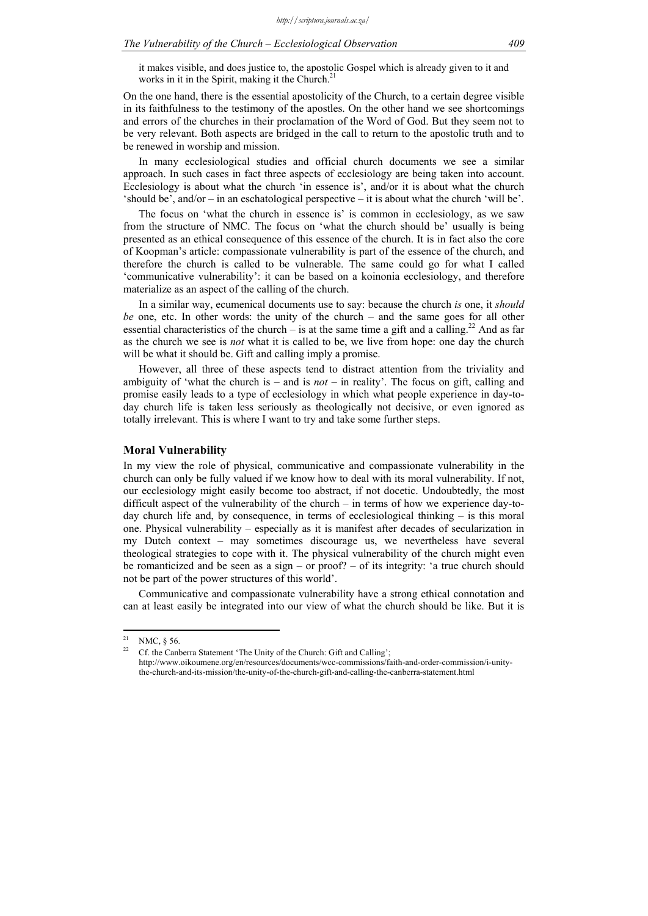it makes visible, and does justice to, the apostolic Gospel which is already given to it and works in it in the Spirit, making it the Church. $2<sup>1</sup>$ 

On the one hand, there is the essential apostolicity of the Church, to a certain degree visible in its faithfulness to the testimony of the apostles. On the other hand we see shortcomings and errors of the churches in their proclamation of the Word of God. But they seem not to be very relevant. Both aspects are bridged in the call to return to the apostolic truth and to be renewed in worship and mission.

In many ecclesiological studies and official church documents we see a similar approach. In such cases in fact three aspects of ecclesiology are being taken into account. Ecclesiology is about what the church 'in essence is', and/or it is about what the church 'should be', and/or – in an eschatological perspective – it is about what the church 'will be'.

The focus on 'what the church in essence is' is common in ecclesiology, as we saw from the structure of NMC. The focus on 'what the church should be' usually is being presented as an ethical consequence of this essence of the church. It is in fact also the core of Koopman's article: compassionate vulnerability is part of the essence of the church, and therefore the church is called to be vulnerable. The same could go for what I called 'communicative vulnerability': it can be based on a koinonia ecclesiology, and therefore materialize as an aspect of the calling of the church.

In a similar way, ecumenical documents use to say: because the church *is* one, it *should be* one, etc. In other words: the unity of the church – and the same goes for all other essential characteristics of the church – is at the same time a gift and a calling.<sup>22</sup> And as far as the church we see is *not* what it is called to be, we live from hope: one day the church will be what it should be. Gift and calling imply a promise.

However, all three of these aspects tend to distract attention from the triviality and ambiguity of 'what the church is – and is  $not$  – in reality'. The focus on gift, calling and promise easily leads to a type of ecclesiology in which what people experience in day-today church life is taken less seriously as theologically not decisive, or even ignored as totally irrelevant. This is where I want to try and take some further steps.

#### **Moral Vulnerability**

In my view the role of physical, communicative and compassionate vulnerability in the church can only be fully valued if we know how to deal with its moral vulnerability. If not, our ecclesiology might easily become too abstract, if not docetic. Undoubtedly, the most difficult aspect of the vulnerability of the church – in terms of how we experience day-today church life and, by consequence, in terms of ecclesiological thinking – is this moral one. Physical vulnerability – especially as it is manifest after decades of secularization in my Dutch context – may sometimes discourage us, we nevertheless have several theological strategies to cope with it. The physical vulnerability of the church might even be romanticized and be seen as a sign – or proof? – of its integrity: 'a true church should not be part of the power structures of this world'.

Communicative and compassionate vulnerability have a strong ethical connotation and can at least easily be integrated into our view of what the church should be like. But it is

 $21$ <sup>21</sup> NMC,  $\frac{5}{6}$  56.

Cf. the Canberra Statement 'The Unity of the Church: Gift and Calling'; http://www.oikoumene.org/en/resources/documents/wcc-commissions/faith-and-order-commission/i-unitythe-church-and-its-mission/the-unity-of-the-church-gift-and-calling-the-canberra-statement.html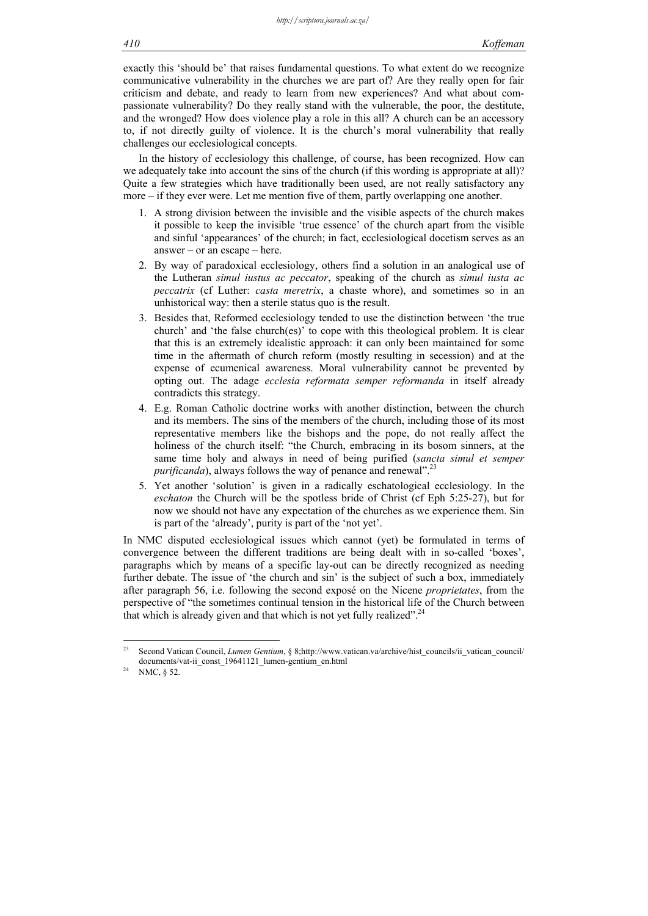exactly this 'should be' that raises fundamental questions. To what extent do we recognize communicative vulnerability in the churches we are part of? Are they really open for fair criticism and debate, and ready to learn from new experiences? And what about compassionate vulnerability? Do they really stand with the vulnerable, the poor, the destitute, and the wronged? How does violence play a role in this all? A church can be an accessory to, if not directly guilty of violence. It is the church's moral vulnerability that really challenges our ecclesiological concepts.

In the history of ecclesiology this challenge, of course, has been recognized. How can we adequately take into account the sins of the church (if this wording is appropriate at all)? Quite a few strategies which have traditionally been used, are not really satisfactory any more – if they ever were. Let me mention five of them, partly overlapping one another.

- 1. A strong division between the invisible and the visible aspects of the church makes it possible to keep the invisible 'true essence' of the church apart from the visible and sinful 'appearances' of the church; in fact, ecclesiological docetism serves as an answer – or an escape – here.
- 2. By way of paradoxical ecclesiology, others find a solution in an analogical use of the Lutheran *simul iustus ac peccator*, speaking of the church as *simul iusta ac peccatrix* (cf Luther: *casta meretrix*, a chaste whore), and sometimes so in an unhistorical way: then a sterile status quo is the result.
- 3. Besides that, Reformed ecclesiology tended to use the distinction between 'the true church' and 'the false church(es)' to cope with this theological problem. It is clear that this is an extremely idealistic approach: it can only been maintained for some time in the aftermath of church reform (mostly resulting in secession) and at the expense of ecumenical awareness. Moral vulnerability cannot be prevented by opting out. The adage *ecclesia reformata semper reformanda* in itself already contradicts this strategy.
- 4. E.g. Roman Catholic doctrine works with another distinction, between the church and its members. The sins of the members of the church, including those of its most representative members like the bishops and the pope, do not really affect the holiness of the church itself: "the Church, embracing in its bosom sinners, at the same time holy and always in need of being purified (*sancta simul et semper purificanda*), always follows the way of penance and renewal".<sup>23</sup>
- 5. Yet another 'solution' is given in a radically eschatological ecclesiology. In the *eschaton* the Church will be the spotless bride of Christ (cf Eph 5:25-27), but for now we should not have any expectation of the churches as we experience them. Sin is part of the 'already', purity is part of the 'not yet'.

In NMC disputed ecclesiological issues which cannot (yet) be formulated in terms of convergence between the different traditions are being dealt with in so-called 'boxes', paragraphs which by means of a specific lay-out can be directly recognized as needing further debate. The issue of 'the church and sin' is the subject of such a box, immediately after paragraph 56, i.e. following the second exposé on the Nicene *proprietates*, from the perspective of "the sometimes continual tension in the historical life of the Church between that which is already given and that which is not yet fully realized".<sup>24</sup>

 $\overline{23}$ 23 Second Vatican Council, *Lumen Gentium*, § 8;http://www.vatican.va/archive/hist\_councils/ii\_vatican\_council/ documents/vat-ii\_const\_19641121\_lumen-gentium\_en.html 24 NMC, § 52.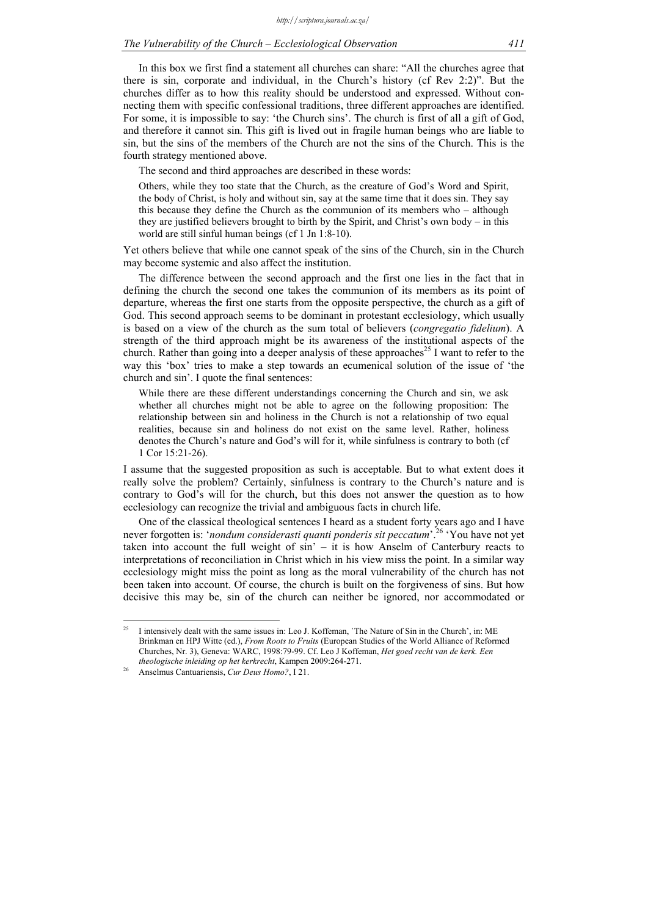In this box we first find a statement all churches can share: "All the churches agree that there is sin, corporate and individual, in the Church's history (cf Rev 2:2)". But the churches differ as to how this reality should be understood and expressed. Without connecting them with specific confessional traditions, three different approaches are identified. For some, it is impossible to say: 'the Church sins'. The church is first of all a gift of God, and therefore it cannot sin. This gift is lived out in fragile human beings who are liable to sin, but the sins of the members of the Church are not the sins of the Church. This is the fourth strategy mentioned above.

The second and third approaches are described in these words:

Others, while they too state that the Church, as the creature of God's Word and Spirit, the body of Christ, is holy and without sin, say at the same time that it does sin. They say this because they define the Church as the communion of its members who – although they are justified believers brought to birth by the Spirit, and Christ's own body – in this world are still sinful human beings (cf 1 Jn 1:8-10).

Yet others believe that while one cannot speak of the sins of the Church, sin in the Church may become systemic and also affect the institution.

The difference between the second approach and the first one lies in the fact that in defining the church the second one takes the communion of its members as its point of departure, whereas the first one starts from the opposite perspective, the church as a gift of God. This second approach seems to be dominant in protestant ecclesiology, which usually is based on a view of the church as the sum total of believers (*congregatio fidelium*). A strength of the third approach might be its awareness of the institutional aspects of the church. Rather than going into a deeper analysis of these approaches<sup>25</sup> I want to refer to the way this 'box' tries to make a step towards an ecumenical solution of the issue of 'the church and sin'. I quote the final sentences:

While there are these different understandings concerning the Church and sin, we ask whether all churches might not be able to agree on the following proposition: The relationship between sin and holiness in the Church is not a relationship of two equal realities, because sin and holiness do not exist on the same level. Rather, holiness denotes the Church's nature and God's will for it, while sinfulness is contrary to both (cf 1 Cor 15:21-26).

I assume that the suggested proposition as such is acceptable. But to what extent does it really solve the problem? Certainly, sinfulness is contrary to the Church's nature and is contrary to God's will for the church, but this does not answer the question as to how ecclesiology can recognize the trivial and ambiguous facts in church life.

One of the classical theological sentences I heard as a student forty years ago and I have never forgotten is: '*nondum considerasti quanti ponderis sit peccatum*'.26 'You have not yet taken into account the full weight of sin' – it is how Anselm of Canterbury reacts to interpretations of reconciliation in Christ which in his view miss the point. In a similar way ecclesiology might miss the point as long as the moral vulnerability of the church has not been taken into account. Of course, the church is built on the forgiveness of sins. But how decisive this may be, sin of the church can neither be ignored, nor accommodated or

<sup>25</sup> I intensively dealt with the same issues in: Leo J. Koffeman, `The Nature of Sin in the Church', in: ME Brinkman en HPJ Witte (ed.), *From Roots to Fruits* (European Studies of the World Alliance of Reformed Churches, Nr. 3), Geneva: WARC, 1998:79-99. Cf. Leo J Koffeman, *Het goed recht van de kerk. Een theologische inleiding op het kerkrecht*, Kampen 2009:264-271. 26 Anselmus Cantuariensis, *Cur Deus Homo?*, I 21.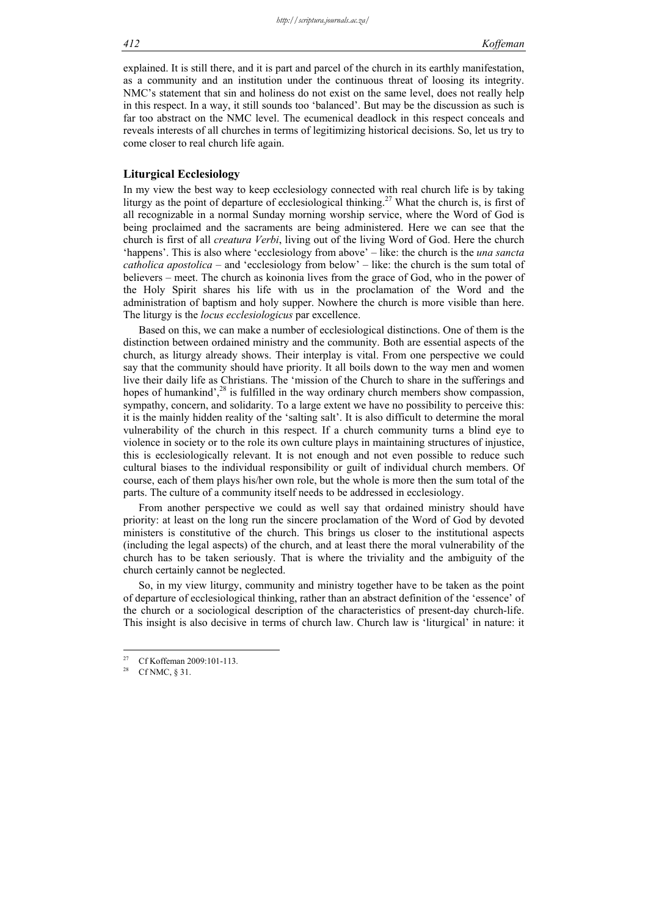#### *412 Koffeman*

explained. It is still there, and it is part and parcel of the church in its earthly manifestation, as a community and an institution under the continuous threat of loosing its integrity. NMC's statement that sin and holiness do not exist on the same level, does not really help in this respect. In a way, it still sounds too 'balanced'. But may be the discussion as such is far too abstract on the NMC level. The ecumenical deadlock in this respect conceals and reveals interests of all churches in terms of legitimizing historical decisions. So, let us try to come closer to real church life again.

#### **Liturgical Ecclesiology**

In my view the best way to keep ecclesiology connected with real church life is by taking liturgy as the point of departure of ecclesiological thinking.<sup>27</sup> What the church is, is first of all recognizable in a normal Sunday morning worship service, where the Word of God is being proclaimed and the sacraments are being administered. Here we can see that the church is first of all *creatura Verbi*, living out of the living Word of God. Here the church 'happens'. This is also where 'ecclesiology from above' – like: the church is the *una sancta catholica apostolica* – and 'ecclesiology from below' – like: the church is the sum total of believers – meet. The church as koinonia lives from the grace of God, who in the power of the Holy Spirit shares his life with us in the proclamation of the Word and the administration of baptism and holy supper. Nowhere the church is more visible than here. The liturgy is the *locus ecclesiologicus* par excellence.

Based on this, we can make a number of ecclesiological distinctions. One of them is the distinction between ordained ministry and the community. Both are essential aspects of the church, as liturgy already shows. Their interplay is vital. From one perspective we could say that the community should have priority. It all boils down to the way men and women live their daily life as Christians. The 'mission of the Church to share in the sufferings and hopes of humankind',<sup>28</sup> is fulfilled in the way ordinary church members show compassion, sympathy, concern, and solidarity. To a large extent we have no possibility to perceive this: it is the mainly hidden reality of the 'salting salt'. It is also difficult to determine the moral vulnerability of the church in this respect. If a church community turns a blind eye to violence in society or to the role its own culture plays in maintaining structures of injustice, this is ecclesiologically relevant. It is not enough and not even possible to reduce such cultural biases to the individual responsibility or guilt of individual church members. Of course, each of them plays his/her own role, but the whole is more then the sum total of the parts. The culture of a community itself needs to be addressed in ecclesiology.

From another perspective we could as well say that ordained ministry should have priority: at least on the long run the sincere proclamation of the Word of God by devoted ministers is constitutive of the church. This brings us closer to the institutional aspects (including the legal aspects) of the church, and at least there the moral vulnerability of the church has to be taken seriously. That is where the triviality and the ambiguity of the church certainly cannot be neglected.

So, in my view liturgy, community and ministry together have to be taken as the point of departure of ecclesiological thinking, rather than an abstract definition of the 'essence' of the church or a sociological description of the characteristics of present-day church-life. This insight is also decisive in terms of church law. Church law is 'liturgical' in nature: it

<u>.</u>

<sup>&</sup>lt;sup>27</sup> Cf Koffeman 2009:101-113.

Cf NMC,  $§$  31.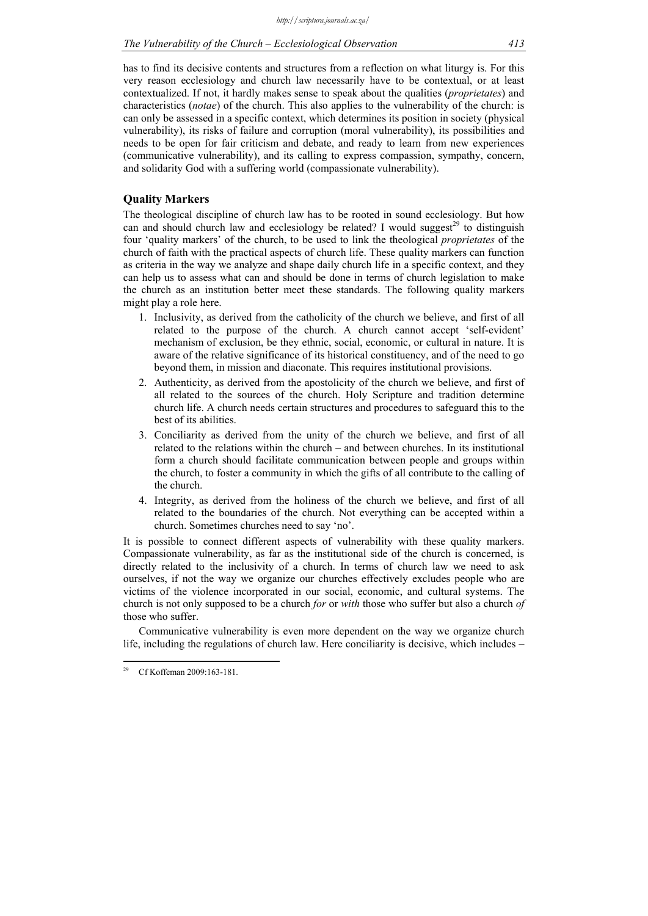has to find its decisive contents and structures from a reflection on what liturgy is. For this very reason ecclesiology and church law necessarily have to be contextual, or at least contextualized. If not, it hardly makes sense to speak about the qualities (*proprietates*) and characteristics (*notae*) of the church. This also applies to the vulnerability of the church: is can only be assessed in a specific context, which determines its position in society (physical vulnerability), its risks of failure and corruption (moral vulnerability), its possibilities and needs to be open for fair criticism and debate, and ready to learn from new experiences (communicative vulnerability), and its calling to express compassion, sympathy, concern, and solidarity God with a suffering world (compassionate vulnerability).

## **Quality Markers**

The theological discipline of church law has to be rooted in sound ecclesiology. But how can and should church law and ecclesiology be related? I would suggest<sup>29</sup> to distinguish four 'quality markers' of the church, to be used to link the theological *proprietates* of the church of faith with the practical aspects of church life. These quality markers can function as criteria in the way we analyze and shape daily church life in a specific context, and they can help us to assess what can and should be done in terms of church legislation to make the church as an institution better meet these standards. The following quality markers might play a role here.

- 1. Inclusivity, as derived from the catholicity of the church we believe, and first of all related to the purpose of the church. A church cannot accept 'self-evident' mechanism of exclusion, be they ethnic, social, economic, or cultural in nature. It is aware of the relative significance of its historical constituency, and of the need to go beyond them, in mission and diaconate. This requires institutional provisions.
- 2. Authenticity, as derived from the apostolicity of the church we believe, and first of all related to the sources of the church. Holy Scripture and tradition determine church life. A church needs certain structures and procedures to safeguard this to the best of its abilities.
- 3. Conciliarity as derived from the unity of the church we believe, and first of all related to the relations within the church – and between churches. In its institutional form a church should facilitate communication between people and groups within the church, to foster a community in which the gifts of all contribute to the calling of the church.
- 4. Integrity, as derived from the holiness of the church we believe, and first of all related to the boundaries of the church. Not everything can be accepted within a church. Sometimes churches need to say 'no'.

It is possible to connect different aspects of vulnerability with these quality markers. Compassionate vulnerability, as far as the institutional side of the church is concerned, is directly related to the inclusivity of a church. In terms of church law we need to ask ourselves, if not the way we organize our churches effectively excludes people who are victims of the violence incorporated in our social, economic, and cultural systems. The church is not only supposed to be a church *for* or *with* those who suffer but also a church *of* those who suffer.

Communicative vulnerability is even more dependent on the way we organize church life, including the regulations of church law. Here conciliarity is decisive, which includes –

<sup>29</sup> Cf Koffeman 2009:163-181.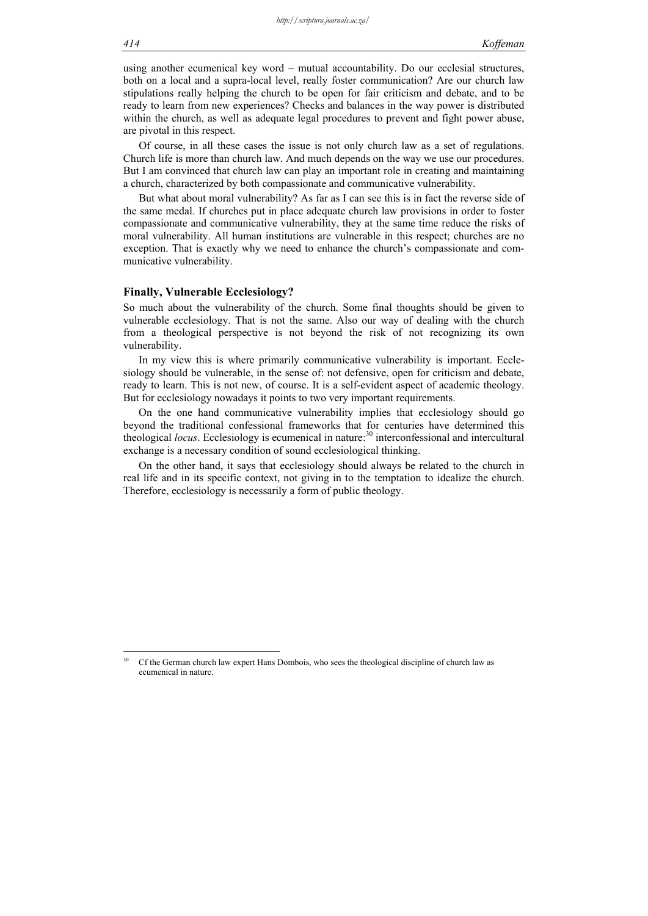using another ecumenical key word – mutual accountability. Do our ecclesial structures, both on a local and a supra-local level, really foster communication? Are our church law stipulations really helping the church to be open for fair criticism and debate, and to be ready to learn from new experiences? Checks and balances in the way power is distributed within the church, as well as adequate legal procedures to prevent and fight power abuse, are pivotal in this respect.

Of course, in all these cases the issue is not only church law as a set of regulations. Church life is more than church law. And much depends on the way we use our procedures. But I am convinced that church law can play an important role in creating and maintaining a church, characterized by both compassionate and communicative vulnerability.

But what about moral vulnerability? As far as I can see this is in fact the reverse side of the same medal. If churches put in place adequate church law provisions in order to foster compassionate and communicative vulnerability, they at the same time reduce the risks of moral vulnerability. All human institutions are vulnerable in this respect; churches are no exception. That is exactly why we need to enhance the church's compassionate and communicative vulnerability.

#### **Finally, Vulnerable Ecclesiology?**

So much about the vulnerability of the church. Some final thoughts should be given to vulnerable ecclesiology. That is not the same. Also our way of dealing with the church from a theological perspective is not beyond the risk of not recognizing its own vulnerability.

In my view this is where primarily communicative vulnerability is important. Ecclesiology should be vulnerable, in the sense of: not defensive, open for criticism and debate, ready to learn. This is not new, of course. It is a self-evident aspect of academic theology. But for ecclesiology nowadays it points to two very important requirements.

On the one hand communicative vulnerability implies that ecclesiology should go beyond the traditional confessional frameworks that for centuries have determined this theological *locus*. Ecclesiology is ecumenical in nature:<sup>30</sup> interconfessional and intercultural exchange is a necessary condition of sound ecclesiological thinking.

On the other hand, it says that ecclesiology should always be related to the church in real life and in its specific context, not giving in to the temptation to idealize the church. Therefore, ecclesiology is necessarily a form of public theology.

<sup>30</sup> Cf the German church law expert Hans Dombois, who sees the theological discipline of church law as ecumenical in nature.